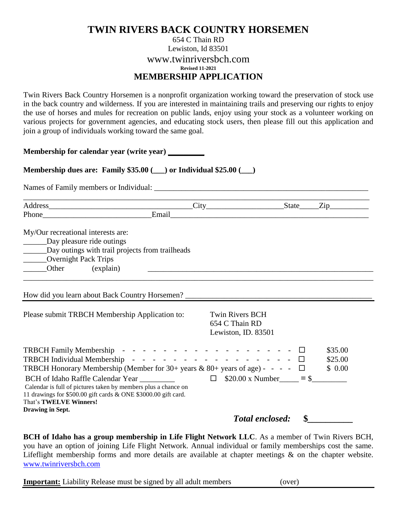## **TWIN RIVERS BACK COUNTRY HORSEMEN**

## 654 C Thain RD Lewiston, Id 83501 www.twinriversbch.com **Revised 11-2021 MEMBERSHIP APPLICATION**

Twin Rivers Back Country Horsemen is a nonprofit organization working toward the preservation of stock use in the back country and wilderness. If you are interested in maintaining trails and preserving our rights to enjoy the use of horses and mules for recreation on public lands, enjoy using your stock as a volunteer working on various projects for government agencies, and educating stock users, then please fill out this application and join a group of individuals working toward the same goal.

**Membership for calendar year (write year) \_\_\_\_\_\_\_**

**Membership dues are: Family \$35.00 (\_\_\_) or Individual \$25.00 (\_\_\_)**

Names of Family members or Individual: \_\_\_\_\_\_\_\_\_\_\_\_\_\_\_\_\_\_\_\_\_\_\_\_\_\_\_\_\_\_\_\_\_\_\_\_\_\_\_\_\_\_\_\_\_\_\_\_\_\_\_\_\_\_\_

|                                                                                                                                                                                                                     | City                                                                                                                                                                                                                                                                                                                                                                                                                                                                                                                                                                              | State                                         | $\rm{Zip}_{-}$               |
|---------------------------------------------------------------------------------------------------------------------------------------------------------------------------------------------------------------------|-----------------------------------------------------------------------------------------------------------------------------------------------------------------------------------------------------------------------------------------------------------------------------------------------------------------------------------------------------------------------------------------------------------------------------------------------------------------------------------------------------------------------------------------------------------------------------------|-----------------------------------------------|------------------------------|
| Phone                                                                                                                                                                                                               | Email                                                                                                                                                                                                                                                                                                                                                                                                                                                                                                                                                                             |                                               |                              |
| My/Our recreational interests are:<br>Day pleasure ride outings<br>Day outings with trail projects from trailheads<br><b>Overnight Pack Trips</b><br>Other<br>(explain)                                             |                                                                                                                                                                                                                                                                                                                                                                                                                                                                                                                                                                                   |                                               |                              |
| How did you learn about Back Country Horsemen?                                                                                                                                                                      |                                                                                                                                                                                                                                                                                                                                                                                                                                                                                                                                                                                   |                                               |                              |
| Please submit TRBCH Membership Application to:                                                                                                                                                                      | 654 C Thain RD                                                                                                                                                                                                                                                                                                                                                                                                                                                                                                                                                                    | <b>Twin Rivers BCH</b><br>Lewiston, ID. 83501 |                              |
| TRBCH Family Membership -<br><b>TRBCH</b> Individual Membership                                                                                                                                                     | $\mathcal{L}^{\mathcal{A}}(\mathcal{A}^{\mathcal{A}}(\mathcal{A}^{\mathcal{A}}(\mathcal{A}^{\mathcal{A}}(\mathcal{A}^{\mathcal{A}}(\mathcal{A}^{\mathcal{A}}(\mathcal{A}^{\mathcal{A}}(\mathcal{A}^{\mathcal{A}}(\mathcal{A}^{\mathcal{A}}(\mathcal{A}^{\mathcal{A}}(\mathcal{A}^{\mathcal{A}}(\mathcal{A}^{\mathcal{A}}(\mathcal{A}^{\mathcal{A}}(\mathcal{A}^{\mathcal{A}}(\mathcal{A}^{\mathcal{A}}(\mathcal{A}^{\mathcal{A}}(\mathcal{A}^{\mathcal{A$<br>and the state of the state of the<br>TRBCH Honorary Membership (Member for $30+$ years & $80+$ years of age) - - - - |                                               | \$35.00<br>\$25.00<br>\$0.00 |
| BCH of Idaho Raffle Calendar Year<br>Calendar is full of pictures taken by members plus a chance on<br>11 drawings for \$500.00 gift cards & ONE \$3000.00 gift card.<br>That's TWELVE Winners!<br>Drawing in Sept. | □                                                                                                                                                                                                                                                                                                                                                                                                                                                                                                                                                                                 | $$20.00 \times$ Number = \$                   |                              |

**BCH of Idaho has a group membership in Life Flight Network LLC**. As a member of Twin Rivers BCH, you have an option of joining Life Flight Network. Annual individual or family memberships cost the same. Lifeflight membership forms and more details are available at chapter meetings & on the chapter website. [www.twinriversbch.com](http://www.twinriversbch.com/) 

**Important:** Liability Release must be signed by all adult members (over)